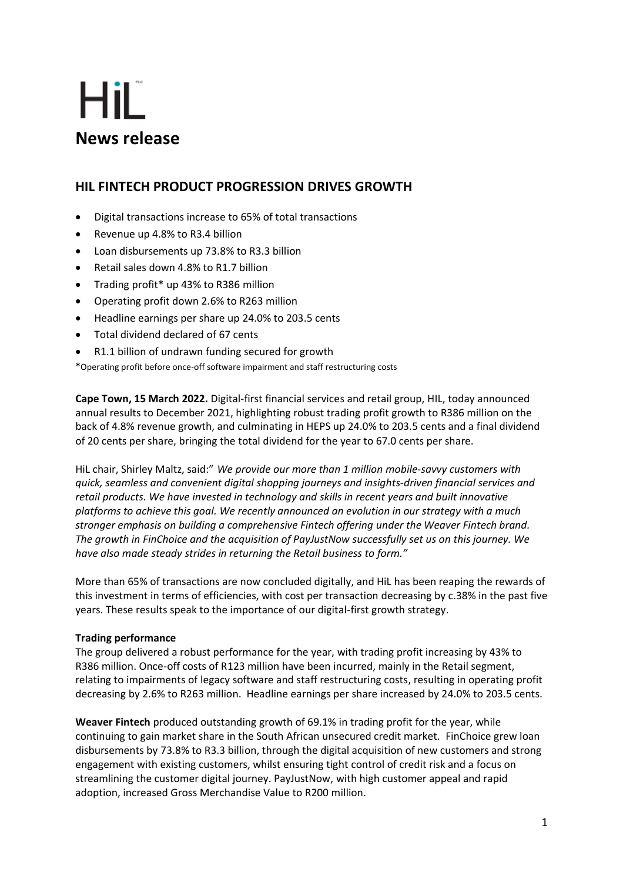# HiL **News release**

## **HIL FINTECH PRODUCT PROGRESSION DRIVES GROWTH**

- Digital transactions increase to 65% of total transactions
- Revenue up 4.8% to R3.4 billion
- Loan disbursements up 73.8% to R3.3 billion
- Retail sales down 4.8% to R1.7 billion
- Trading profit\* up 43% to R386 million
- Operating profit down 2.6% to R263 million
- Headline earnings per share up 24.0% to 203.5 cents
- Total dividend declared of 67 cents
- R1.1 billion of undrawn funding secured for growth

\*Operating profit before once-off software impairment and staff restructuring costs

**Cape Town, 15 March 2022.** Digital-first financial services and retail group, HIL, today announced annual results to December 2021, highlighting robust trading profit growth to R386 million on the back of 4.8% revenue growth, and culminating in HEPS up 24.0% to 203.5 cents and a final dividend of 20 cents per share, bringing the total dividend for the year to 67.0 cents per share.

HiL chair, Shirley Maltz, said:" *We provide our more than 1 million mobile-savvy customers with quick, seamless and convenient digital shopping journeys and insights-driven financial services and retail products. We have invested in technology and skills in recent years and built innovative platforms to achieve this goal. We recently announced an evolution in our strategy with a much stronger emphasis on building a comprehensive Fintech offering under the Weaver Fintech brand. The growth in FinChoice and the acquisition of PayJustNow successfully set us on this journey. We have also made steady strides in returning the Retail business to form."*

More than 65% of transactions are now concluded digitally, and HiL has been reaping the rewards of this investment in terms of efficiencies, with cost per transaction decreasing by c.38% in the past five years. These results speak to the importance of our digital-first growth strategy.

### **Trading performance**

The group delivered a robust performance for the year, with trading profit increasing by 43% to R386 million. Once-off costs of R123 million have been incurred, mainly in the Retail segment, relating to impairments of legacy software and staff restructuring costs, resulting in operating profit decreasing by 2.6% to R263 million. Headline earnings per share increased by 24.0% to 203.5 cents.

**Weaver Fintech** produced outstanding growth of 69.1% in trading profit for the year, while continuing to gain market share in the South African unsecured credit market. FinChoice grew loan disbursements by 73.8% to R3.3 billion, through the digital acquisition of new customers and strong engagement with existing customers, whilst ensuring tight control of credit risk and a focus on streamlining the customer digital journey. PayJustNow, with high customer appeal and rapid adoption, increased Gross Merchandise Value to R200 million.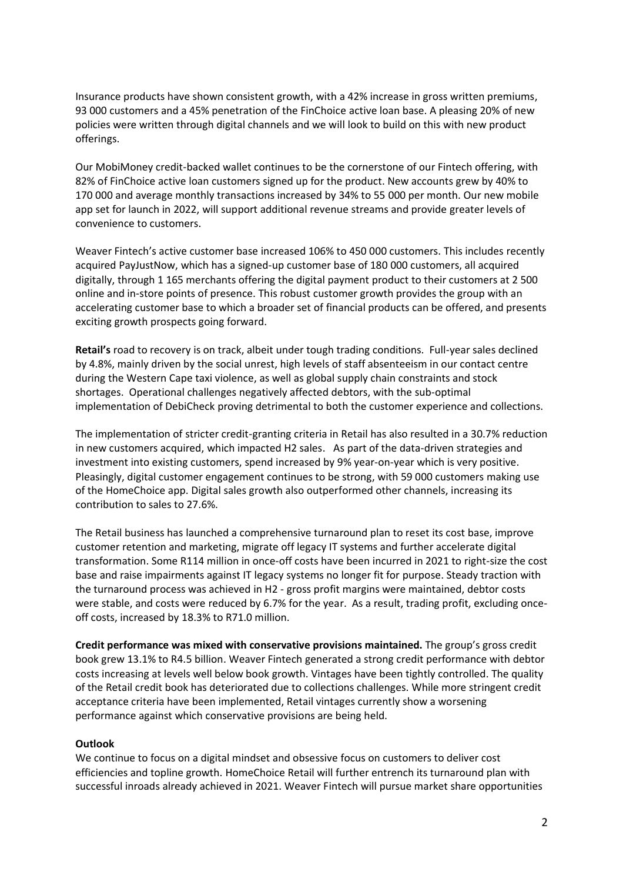Insurance products have shown consistent growth, with a 42% increase in gross written premiums, 93 000 customers and a 45% penetration of the FinChoice active loan base. A pleasing 20% of new policies were written through digital channels and we will look to build on this with new product offerings.

Our MobiMoney credit-backed wallet continues to be the cornerstone of our Fintech offering, with 82% of FinChoice active loan customers signed up for the product. New accounts grew by 40% to 170 000 and average monthly transactions increased by 34% to 55 000 per month. Our new mobile app set for launch in 2022, will support additional revenue streams and provide greater levels of convenience to customers.

Weaver Fintech's active customer base increased 106% to 450 000 customers. This includes recently acquired PayJustNow, which has a signed-up customer base of 180 000 customers, all acquired digitally, through 1 165 merchants offering the digital payment product to their customers at 2 500 online and in-store points of presence. This robust customer growth provides the group with an accelerating customer base to which a broader set of financial products can be offered, and presents exciting growth prospects going forward.

**Retail's** road to recovery is on track, albeit under tough trading conditions. Full-year sales declined by 4.8%, mainly driven by the social unrest, high levels of staff absenteeism in our contact centre during the Western Cape taxi violence, as well as global supply chain constraints and stock shortages. Operational challenges negatively affected debtors, with the sub-optimal implementation of DebiCheck proving detrimental to both the customer experience and collections.

The implementation of stricter credit-granting criteria in Retail has also resulted in a 30.7% reduction in new customers acquired, which impacted H2 sales. As part of the data-driven strategies and investment into existing customers, spend increased by 9% year-on-year which is very positive. Pleasingly, digital customer engagement continues to be strong, with 59 000 customers making use of the HomeChoice app. Digital sales growth also outperformed other channels, increasing its contribution to sales to 27.6%.

The Retail business has launched a comprehensive turnaround plan to reset its cost base, improve customer retention and marketing, migrate off legacy IT systems and further accelerate digital transformation. Some R114 million in once-off costs have been incurred in 2021 to right-size the cost base and raise impairments against IT legacy systems no longer fit for purpose. Steady traction with the turnaround process was achieved in H2 - gross profit margins were maintained, debtor costs were stable, and costs were reduced by 6.7% for the year. As a result, trading profit, excluding onceoff costs, increased by 18.3% to R71.0 million.

**Credit performance was mixed with conservative provisions maintained.** The group's gross credit book grew 13.1% to R4.5 billion. Weaver Fintech generated a strong credit performance with debtor costs increasing at levels well below book growth. Vintages have been tightly controlled. The quality of the Retail credit book has deteriorated due to collections challenges. While more stringent credit acceptance criteria have been implemented, Retail vintages currently show a worsening performance against which conservative provisions are being held.

#### **Outlook**

We continue to focus on a digital mindset and obsessive focus on customers to deliver cost efficiencies and topline growth. HomeChoice Retail will further entrench its turnaround plan with successful inroads already achieved in 2021. Weaver Fintech will pursue market share opportunities